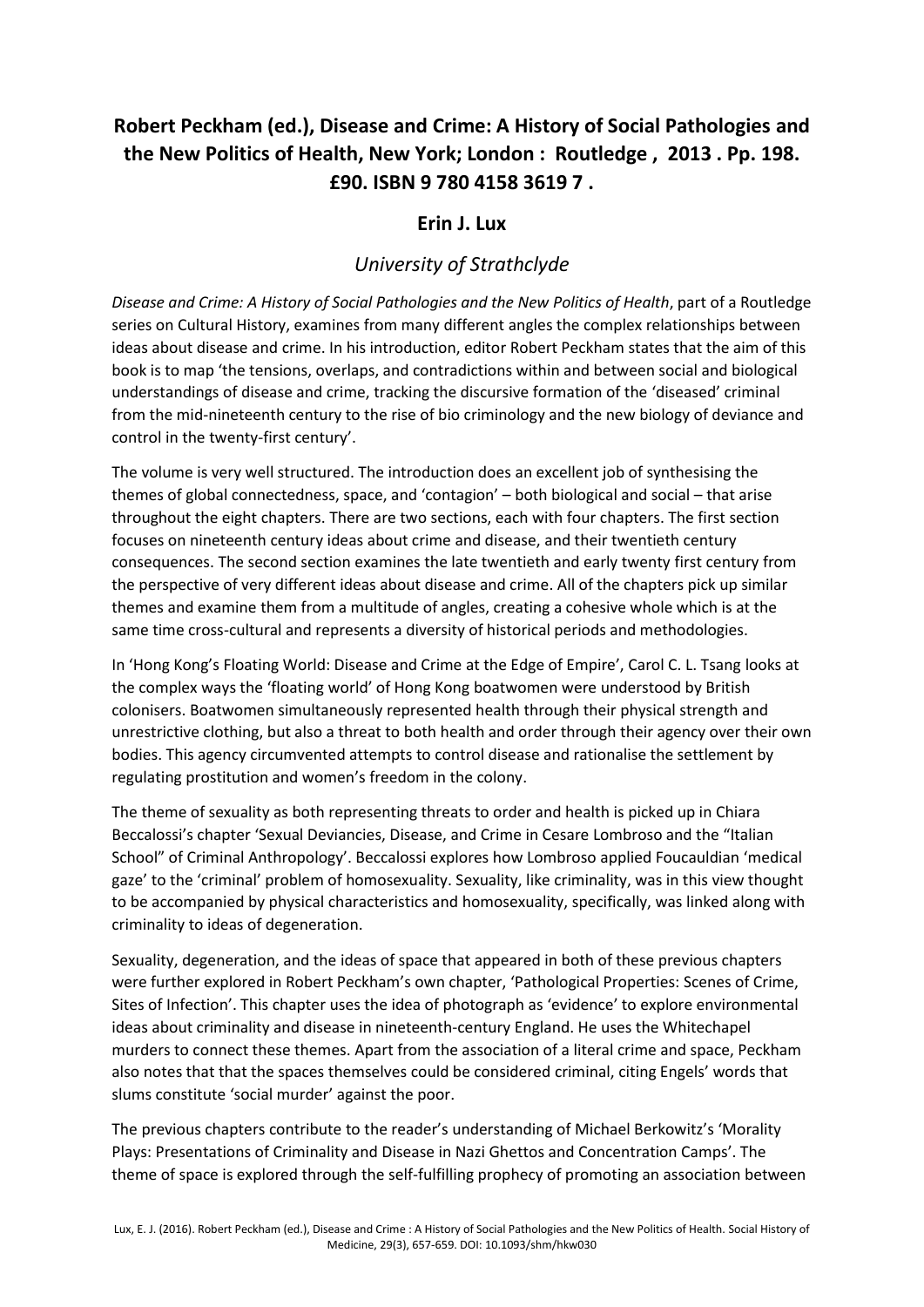## **Robert Peckham (ed.), Disease and Crime: A History of Social Pathologies and the New Politics of Health, New York; London : Routledge , 2013 . Pp. 198. £90. ISBN 9 780 4158 3619 7 .**

## **Erin J. Lux**

## *University of Strathclyde*

*Disease and Crime: A History of Social Pathologies and the New Politics of Health*, part of a Routledge series on Cultural History, examines from many different angles the complex relationships between ideas about disease and crime. In his introduction, editor Robert Peckham states that the aim of this book is to map 'the tensions, overlaps, and contradictions within and between social and biological understandings of disease and crime, tracking the discursive formation of the 'diseased' criminal from the mid-nineteenth century to the rise of bio criminology and the new biology of deviance and control in the twenty-first century'.

The volume is very well structured. The introduction does an excellent job of synthesising the themes of global connectedness, space, and 'contagion' – both biological and social – that arise throughout the eight chapters. There are two sections, each with four chapters. The first section focuses on nineteenth century ideas about crime and disease, and their twentieth century consequences. The second section examines the late twentieth and early twenty first century from the perspective of very different ideas about disease and crime. All of the chapters pick up similar themes and examine them from a multitude of angles, creating a cohesive whole which is at the same time cross-cultural and represents a diversity of historical periods and methodologies.

In 'Hong Kong's Floating World: Disease and Crime at the Edge of Empire', Carol C. L. Tsang looks at the complex ways the 'floating world' of Hong Kong boatwomen were understood by British colonisers. Boatwomen simultaneously represented health through their physical strength and unrestrictive clothing, but also a threat to both health and order through their agency over their own bodies. This agency circumvented attempts to control disease and rationalise the settlement by regulating prostitution and women's freedom in the colony.

The theme of sexuality as both representing threats to order and health is picked up in Chiara Beccalossi's chapter 'Sexual Deviancies, Disease, and Crime in Cesare Lombroso and the "Italian School" of Criminal Anthropology'. Beccalossi explores how Lombroso applied Foucauldian 'medical gaze' to the 'criminal' problem of homosexuality. Sexuality, like criminality, was in this view thought to be accompanied by physical characteristics and homosexuality, specifically, was linked along with criminality to ideas of degeneration.

Sexuality, degeneration, and the ideas of space that appeared in both of these previous chapters were further explored in Robert Peckham's own chapter, 'Pathological Properties: Scenes of Crime, Sites of Infection'. This chapter uses the idea of photograph as 'evidence' to explore environmental ideas about criminality and disease in nineteenth-century England. He uses the Whitechapel murders to connect these themes. Apart from the association of a literal crime and space, Peckham also notes that that the spaces themselves could be considered criminal, citing Engels' words that slums constitute 'social murder' against the poor.

The previous chapters contribute to the reader's understanding of Michael Berkowitz's 'Morality Plays: Presentations of Criminality and Disease in Nazi Ghettos and Concentration Camps'. The theme of space is explored through the self-fulfilling prophecy of promoting an association between